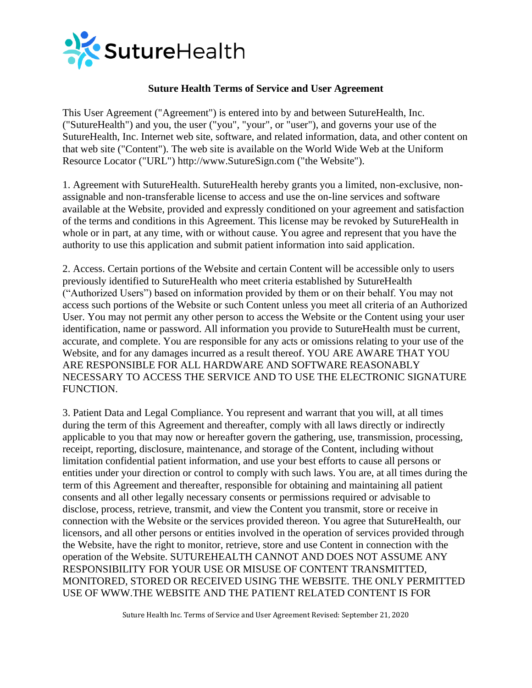

### **Suture Health Terms of Service and User Agreement**

This User Agreement ("Agreement") is entered into by and between SutureHealth, Inc. ("SutureHealth") and you, the user ("you", "your", or "user"), and governs your use of the SutureHealth, Inc. Internet web site, software, and related information, data, and other content on that web site ("Content"). The web site is available on the World Wide Web at the Uniform Resource Locator ("URL") http://www.SutureSign.com ("the Website").

1. Agreement with SutureHealth. SutureHealth hereby grants you a limited, non-exclusive, nonassignable and non-transferable license to access and use the on-line services and software available at the Website, provided and expressly conditioned on your agreement and satisfaction of the terms and conditions in this Agreement. This license may be revoked by SutureHealth in whole or in part, at any time, with or without cause. You agree and represent that you have the authority to use this application and submit patient information into said application.

2. Access. Certain portions of the Website and certain Content will be accessible only to users previously identified to SutureHealth who meet criteria established by SutureHealth ("Authorized Users") based on information provided by them or on their behalf. You may not access such portions of the Website or such Content unless you meet all criteria of an Authorized User. You may not permit any other person to access the Website or the Content using your user identification, name or password. All information you provide to SutureHealth must be current, accurate, and complete. You are responsible for any acts or omissions relating to your use of the Website, and for any damages incurred as a result thereof. YOU ARE AWARE THAT YOU ARE RESPONSIBLE FOR ALL HARDWARE AND SOFTWARE REASONABLY NECESSARY TO ACCESS THE SERVICE AND TO USE THE ELECTRONIC SIGNATURE FUNCTION.

3. Patient Data and Legal Compliance. You represent and warrant that you will, at all times during the term of this Agreement and thereafter, comply with all laws directly or indirectly applicable to you that may now or hereafter govern the gathering, use, transmission, processing, receipt, reporting, disclosure, maintenance, and storage of the Content, including without limitation confidential patient information, and use your best efforts to cause all persons or entities under your direction or control to comply with such laws. You are, at all times during the term of this Agreement and thereafter, responsible for obtaining and maintaining all patient consents and all other legally necessary consents or permissions required or advisable to disclose, process, retrieve, transmit, and view the Content you transmit, store or receive in connection with the Website or the services provided thereon. You agree that SutureHealth, our licensors, and all other persons or entities involved in the operation of services provided through the Website, have the right to monitor, retrieve, store and use Content in connection with the operation of the Website. SUTUREHEALTH CANNOT AND DOES NOT ASSUME ANY RESPONSIBILITY FOR YOUR USE OR MISUSE OF CONTENT TRANSMITTED, MONITORED, STORED OR RECEIVED USING THE WEBSITE. THE ONLY PERMITTED USE OF WWW.THE WEBSITE AND THE PATIENT RELATED CONTENT IS FOR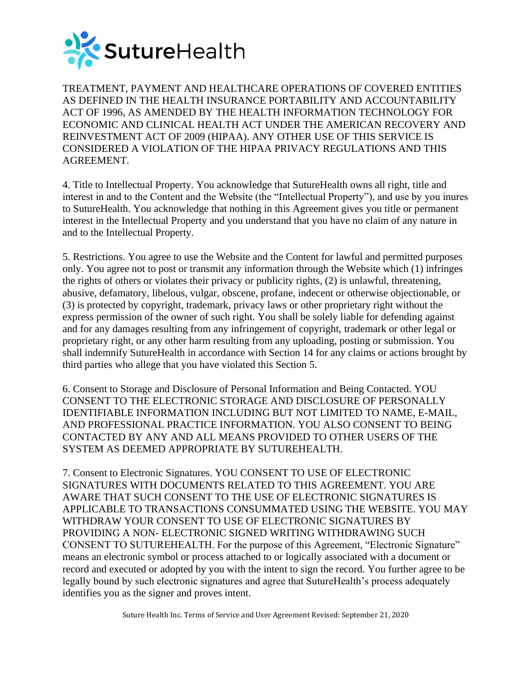

TREATMENT, PAYMENT AND HEALTHCARE OPERATIONS OF COVERED ENTITIES AS DEFINED IN THE HEALTH INSURANCE PORTABILITY AND ACCOUNTABILITY ACT OF 1996, AS AMENDED BY THE HEALTH INFORMATION TECHNOLOGY FOR ECONOMIC AND CLINICAL HEALTH ACT UNDER THE AMERICAN RECOVERY AND REINVESTMENT ACT OF 2009 (HIPAA). ANY OTHER USE OF THIS SERVICE IS CONSIDERED A VIOLATION OF THE HIPAA PRIVACY REGULATIONS AND THIS AGREEMENT.

4. Title to Intellectual Property. You acknowledge that SutureHealth owns all right, title and interest in and to the Content and the Website (the "Intellectual Property"), and use by you inures to SutureHealth. You acknowledge that nothing in this Agreement gives you title or permanent interest in the Intellectual Property and you understand that you have no claim of any nature in and to the Intellectual Property.

5. Restrictions. You agree to use the Website and the Content for lawful and permitted purposes only. You agree not to post or transmit any information through the Website which (1) infringes the rights of others or violates their privacy or publicity rights, (2) is unlawful, threatening, abusive, defamatory, libelous, vulgar, obscene, profane, indecent or otherwise objectionable, or (3) is protected by copyright, trademark, privacy laws or other proprietary right without the express permission of the owner of such right. You shall be solely liable for defending against and for any damages resulting from any infringement of copyright, trademark or other legal or proprietary right, or any other harm resulting from any uploading, posting or submission. You shall indemnify SutureHealth in accordance with Section 14 for any claims or actions brought by third parties who allege that you have violated this Section 5.

6. Consent to Storage and Disclosure of Personal Information and Being Contacted. YOU CONSENT TO THE ELECTRONIC STORAGE AND DISCLOSURE OF PERSONALLY IDENTIFIABLE INFORMATION INCLUDING BUT NOT LIMITED TO NAME, E-MAIL, AND PROFESSIONAL PRACTICE INFORMATION. YOU ALSO CONSENT TO BEING CONTACTED BY ANY AND ALL MEANS PROVIDED TO OTHER USERS OF THE SYSTEM AS DEEMED APPROPRIATE BY SUTUREHEALTH.

7. Consent to Electronic Signatures. YOU CONSENT TO USE OF ELECTRONIC SIGNATURES WITH DOCUMENTS RELATED TO THIS AGREEMENT. YOU ARE AWARE THAT SUCH CONSENT TO THE USE OF ELECTRONIC SIGNATURES IS APPLICABLE TO TRANSACTIONS CONSUMMATED USING THE WEBSITE. YOU MAY WITHDRAW YOUR CONSENT TO USE OF ELECTRONIC SIGNATURES BY PROVIDING A NON- ELECTRONIC SIGNED WRITING WITHDRAWING SUCH CONSENT TO SUTUREHEALTH. For the purpose of this Agreement, "Electronic Signature" means an electronic symbol or process attached to or logically associated with a document or record and executed or adopted by you with the intent to sign the record. You further agree to be legally bound by such electronic signatures and agree that SutureHealth's process adequately identifies you as the signer and proves intent.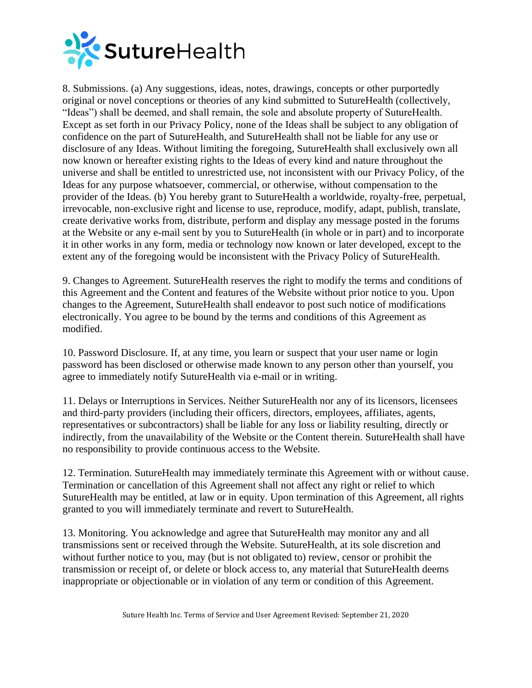

8. Submissions. (a) Any suggestions, ideas, notes, drawings, concepts or other purportedly original or novel conceptions or theories of any kind submitted to SutureHealth (collectively, "Ideas") shall be deemed, and shall remain, the sole and absolute property of SutureHealth. Except as set forth in our Privacy Policy, none of the Ideas shall be subject to any obligation of confidence on the part of SutureHealth, and SutureHealth shall not be liable for any use or disclosure of any Ideas. Without limiting the foregoing, SutureHealth shall exclusively own all now known or hereafter existing rights to the Ideas of every kind and nature throughout the universe and shall be entitled to unrestricted use, not inconsistent with our Privacy Policy, of the Ideas for any purpose whatsoever, commercial, or otherwise, without compensation to the provider of the Ideas. (b) You hereby grant to SutureHealth a worldwide, royalty-free, perpetual, irrevocable, non-exclusive right and license to use, reproduce, modify, adapt, publish, translate, create derivative works from, distribute, perform and display any message posted in the forums at the Website or any e-mail sent by you to SutureHealth (in whole or in part) and to incorporate it in other works in any form, media or technology now known or later developed, except to the extent any of the foregoing would be inconsistent with the Privacy Policy of SutureHealth.

9. Changes to Agreement. SutureHealth reserves the right to modify the terms and conditions of this Agreement and the Content and features of the Website without prior notice to you. Upon changes to the Agreement, SutureHealth shall endeavor to post such notice of modifications electronically. You agree to be bound by the terms and conditions of this Agreement as modified.

10. Password Disclosure. If, at any time, you learn or suspect that your user name or login password has been disclosed or otherwise made known to any person other than yourself, you agree to immediately notify SutureHealth via e-mail or in writing.

11. Delays or Interruptions in Services. Neither SutureHealth nor any of its licensors, licensees and third-party providers (including their officers, directors, employees, affiliates, agents, representatives or subcontractors) shall be liable for any loss or liability resulting, directly or indirectly, from the unavailability of the Website or the Content therein. SutureHealth shall have no responsibility to provide continuous access to the Website.

12. Termination. SutureHealth may immediately terminate this Agreement with or without cause. Termination or cancellation of this Agreement shall not affect any right or relief to which SutureHealth may be entitled, at law or in equity. Upon termination of this Agreement, all rights granted to you will immediately terminate and revert to SutureHealth.

13. Monitoring. You acknowledge and agree that SutureHealth may monitor any and all transmissions sent or received through the Website. SutureHealth, at its sole discretion and without further notice to you, may (but is not obligated to) review, censor or prohibit the transmission or receipt of, or delete or block access to, any material that SutureHealth deems inappropriate or objectionable or in violation of any term or condition of this Agreement.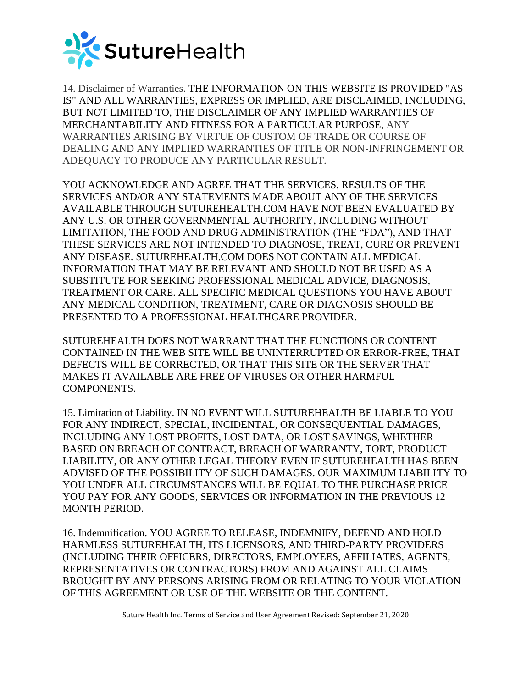

14. Disclaimer of Warranties. THE INFORMATION ON THIS WEBSITE IS PROVIDED "AS IS" AND ALL WARRANTIES, EXPRESS OR IMPLIED, ARE DISCLAIMED, INCLUDING, BUT NOT LIMITED TO, THE DISCLAIMER OF ANY IMPLIED WARRANTIES OF MERCHANTABILITY AND FITNESS FOR A PARTICULAR PURPOSE, ANY WARRANTIES ARISING BY VIRTUE OF CUSTOM OF TRADE OR COURSE OF DEALING AND ANY IMPLIED WARRANTIES OF TITLE OR NON-INFRINGEMENT OR ADEQUACY TO PRODUCE ANY PARTICULAR RESULT.

YOU ACKNOWLEDGE AND AGREE THAT THE SERVICES, RESULTS OF THE SERVICES AND/OR ANY STATEMENTS MADE ABOUT ANY OF THE SERVICES AVAILABLE THROUGH SUTUREHEALTH.COM HAVE NOT BEEN EVALUATED BY ANY U.S. OR OTHER GOVERNMENTAL AUTHORITY, INCLUDING WITHOUT LIMITATION, THE FOOD AND DRUG ADMINISTRATION (THE "FDA"), AND THAT THESE SERVICES ARE NOT INTENDED TO DIAGNOSE, TREAT, CURE OR PREVENT ANY DISEASE. SUTUREHEALTH.COM DOES NOT CONTAIN ALL MEDICAL INFORMATION THAT MAY BE RELEVANT AND SHOULD NOT BE USED AS A SUBSTITUTE FOR SEEKING PROFESSIONAL MEDICAL ADVICE, DIAGNOSIS, TREATMENT OR CARE. ALL SPECIFIC MEDICAL QUESTIONS YOU HAVE ABOUT ANY MEDICAL CONDITION, TREATMENT, CARE OR DIAGNOSIS SHOULD BE PRESENTED TO A PROFESSIONAL HEALTHCARE PROVIDER.

SUTUREHEALTH DOES NOT WARRANT THAT THE FUNCTIONS OR CONTENT CONTAINED IN THE WEB SITE WILL BE UNINTERRUPTED OR ERROR-FREE, THAT DEFECTS WILL BE CORRECTED, OR THAT THIS SITE OR THE SERVER THAT MAKES IT AVAILABLE ARE FREE OF VIRUSES OR OTHER HARMFUL COMPONENTS.

15. Limitation of Liability. IN NO EVENT WILL SUTUREHEALTH BE LIABLE TO YOU FOR ANY INDIRECT, SPECIAL, INCIDENTAL, OR CONSEQUENTIAL DAMAGES, INCLUDING ANY LOST PROFITS, LOST DATA, OR LOST SAVINGS, WHETHER BASED ON BREACH OF CONTRACT, BREACH OF WARRANTY, TORT, PRODUCT LIABILITY, OR ANY OTHER LEGAL THEORY EVEN IF SUTUREHEALTH HAS BEEN ADVISED OF THE POSSIBILITY OF SUCH DAMAGES. OUR MAXIMUM LIABILITY TO YOU UNDER ALL CIRCUMSTANCES WILL BE EQUAL TO THE PURCHASE PRICE YOU PAY FOR ANY GOODS, SERVICES OR INFORMATION IN THE PREVIOUS 12 MONTH PERIOD.

16. Indemnification. YOU AGREE TO RELEASE, INDEMNIFY, DEFEND AND HOLD HARMLESS SUTUREHEALTH, ITS LICENSORS, AND THIRD-PARTY PROVIDERS (INCLUDING THEIR OFFICERS, DIRECTORS, EMPLOYEES, AFFILIATES, AGENTS, REPRESENTATIVES OR CONTRACTORS) FROM AND AGAINST ALL CLAIMS BROUGHT BY ANY PERSONS ARISING FROM OR RELATING TO YOUR VIOLATION OF THIS AGREEMENT OR USE OF THE WEBSITE OR THE CONTENT.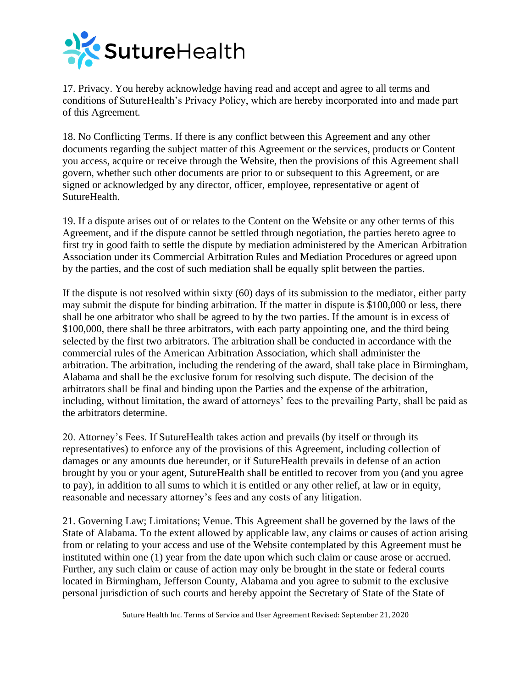

17. Privacy. You hereby acknowledge having read and accept and agree to all terms and conditions of SutureHealth's Privacy Policy, which are hereby incorporated into and made part of this Agreement.

18. No Conflicting Terms. If there is any conflict between this Agreement and any other documents regarding the subject matter of this Agreement or the services, products or Content you access, acquire or receive through the Website, then the provisions of this Agreement shall govern, whether such other documents are prior to or subsequent to this Agreement, or are signed or acknowledged by any director, officer, employee, representative or agent of SutureHealth.

19. If a dispute arises out of or relates to the Content on the Website or any other terms of this Agreement, and if the dispute cannot be settled through negotiation, the parties hereto agree to first try in good faith to settle the dispute by mediation administered by the American Arbitration Association under its Commercial Arbitration Rules and Mediation Procedures or agreed upon by the parties, and the cost of such mediation shall be equally split between the parties.

If the dispute is not resolved within sixty (60) days of its submission to the mediator, either party may submit the dispute for binding arbitration. If the matter in dispute is \$100,000 or less, there shall be one arbitrator who shall be agreed to by the two parties. If the amount is in excess of \$100,000, there shall be three arbitrators, with each party appointing one, and the third being selected by the first two arbitrators. The arbitration shall be conducted in accordance with the commercial rules of the American Arbitration Association, which shall administer the arbitration. The arbitration, including the rendering of the award, shall take place in Birmingham, Alabama and shall be the exclusive forum for resolving such dispute. The decision of the arbitrators shall be final and binding upon the Parties and the expense of the arbitration, including, without limitation, the award of attorneys' fees to the prevailing Party, shall be paid as the arbitrators determine.

20. Attorney's Fees. If SutureHealth takes action and prevails (by itself or through its representatives) to enforce any of the provisions of this Agreement, including collection of damages or any amounts due hereunder, or if SutureHealth prevails in defense of an action brought by you or your agent, SutureHealth shall be entitled to recover from you (and you agree to pay), in addition to all sums to which it is entitled or any other relief, at law or in equity, reasonable and necessary attorney's fees and any costs of any litigation.

21. Governing Law; Limitations; Venue. This Agreement shall be governed by the laws of the State of Alabama. To the extent allowed by applicable law, any claims or causes of action arising from or relating to your access and use of the Website contemplated by this Agreement must be instituted within one (1) year from the date upon which such claim or cause arose or accrued. Further, any such claim or cause of action may only be brought in the state or federal courts located in Birmingham, Jefferson County, Alabama and you agree to submit to the exclusive personal jurisdiction of such courts and hereby appoint the Secretary of State of the State of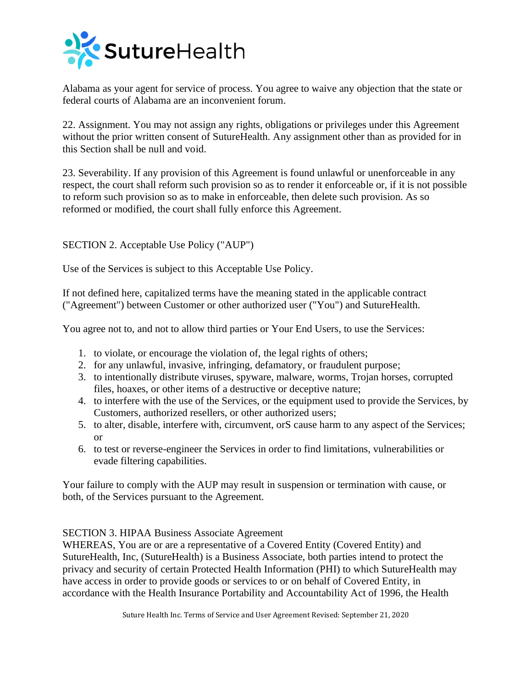

Alabama as your agent for service of process. You agree to waive any objection that the state or federal courts of Alabama are an inconvenient forum.

22. Assignment. You may not assign any rights, obligations or privileges under this Agreement without the prior written consent of SutureHealth. Any assignment other than as provided for in this Section shall be null and void.

23. Severability. If any provision of this Agreement is found unlawful or unenforceable in any respect, the court shall reform such provision so as to render it enforceable or, if it is not possible to reform such provision so as to make in enforceable, then delete such provision. As so reformed or modified, the court shall fully enforce this Agreement.

SECTION 2. Acceptable Use Policy ("AUP")

Use of the Services is subject to this Acceptable Use Policy.

If not defined here, capitalized terms have the meaning stated in the applicable contract ("Agreement") between Customer or other authorized user ("You") and SutureHealth.

You agree not to, and not to allow third parties or Your End Users, to use the Services:

- 1. to violate, or encourage the violation of, the legal rights of others;
- 2. for any unlawful, invasive, infringing, defamatory, or fraudulent purpose;
- 3. to intentionally distribute viruses, spyware, malware, worms, Trojan horses, corrupted files, hoaxes, or other items of a destructive or deceptive nature;
- 4. to interfere with the use of the Services, or the equipment used to provide the Services, by Customers, authorized resellers, or other authorized users;
- 5. to alter, disable, interfere with, circumvent, orS cause harm to any aspect of the Services; or
- 6. to test or reverse-engineer the Services in order to find limitations, vulnerabilities or evade filtering capabilities.

Your failure to comply with the AUP may result in suspension or termination with cause, or both, of the Services pursuant to the Agreement.

#### SECTION 3. HIPAA Business Associate Agreement

WHEREAS, You are or are a representative of a Covered Entity (Covered Entity) and SutureHealth, Inc, (SutureHealth) is a Business Associate, both parties intend to protect the privacy and security of certain Protected Health Information (PHI) to which SutureHealth may have access in order to provide goods or services to or on behalf of Covered Entity, in accordance with the Health Insurance Portability and Accountability Act of 1996, the Health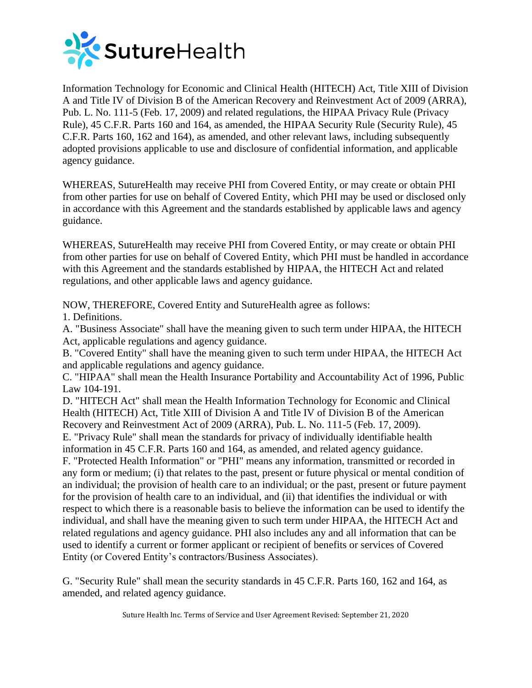

Information Technology for Economic and Clinical Health (HITECH) Act, Title XIII of Division A and Title IV of Division B of the American Recovery and Reinvestment Act of 2009 (ARRA), Pub. L. No. 111-5 (Feb. 17, 2009) and related regulations, the HIPAA Privacy Rule (Privacy Rule), 45 C.F.R. Parts 160 and 164, as amended, the HIPAA Security Rule (Security Rule), 45 C.F.R. Parts 160, 162 and 164), as amended, and other relevant laws, including subsequently adopted provisions applicable to use and disclosure of confidential information, and applicable agency guidance.

WHEREAS, SutureHealth may receive PHI from Covered Entity, or may create or obtain PHI from other parties for use on behalf of Covered Entity, which PHI may be used or disclosed only in accordance with this Agreement and the standards established by applicable laws and agency guidance.

WHEREAS, SutureHealth may receive PHI from Covered Entity, or may create or obtain PHI from other parties for use on behalf of Covered Entity, which PHI must be handled in accordance with this Agreement and the standards established by HIPAA, the HITECH Act and related regulations, and other applicable laws and agency guidance.

NOW, THEREFORE, Covered Entity and SutureHealth agree as follows:

1. Definitions.

A. "Business Associate" shall have the meaning given to such term under HIPAA, the HITECH Act, applicable regulations and agency guidance.

B. "Covered Entity" shall have the meaning given to such term under HIPAA, the HITECH Act and applicable regulations and agency guidance.

C. "HIPAA" shall mean the Health Insurance Portability and Accountability Act of 1996, Public Law 104-191.

D. "HITECH Act" shall mean the Health Information Technology for Economic and Clinical Health (HITECH) Act, Title XIII of Division A and Title IV of Division B of the American Recovery and Reinvestment Act of 2009 (ARRA), Pub. L. No. 111-5 (Feb. 17, 2009).

E. "Privacy Rule" shall mean the standards for privacy of individually identifiable health information in 45 C.F.R. Parts 160 and 164, as amended, and related agency guidance. F. "Protected Health Information" or "PHI" means any information, transmitted or recorded in any form or medium; (i) that relates to the past, present or future physical or mental condition of an individual; the provision of health care to an individual; or the past, present or future payment for the provision of health care to an individual, and (ii) that identifies the individual or with respect to which there is a reasonable basis to believe the information can be used to identify the individual, and shall have the meaning given to such term under HIPAA, the HITECH Act and related regulations and agency guidance. PHI also includes any and all information that can be used to identify a current or former applicant or recipient of benefits or services of Covered Entity (or Covered Entity's contractors/Business Associates).

G. "Security Rule" shall mean the security standards in 45 C.F.R. Parts 160, 162 and 164, as amended, and related agency guidance.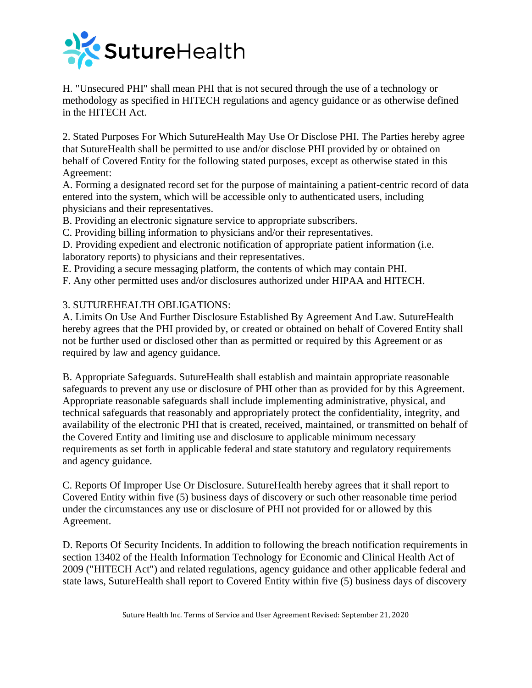

H. "Unsecured PHI" shall mean PHI that is not secured through the use of a technology or methodology as specified in HITECH regulations and agency guidance or as otherwise defined in the HITECH Act.

2. Stated Purposes For Which SutureHealth May Use Or Disclose PHI. The Parties hereby agree that SutureHealth shall be permitted to use and/or disclose PHI provided by or obtained on behalf of Covered Entity for the following stated purposes, except as otherwise stated in this Agreement:

A. Forming a designated record set for the purpose of maintaining a patient-centric record of data entered into the system, which will be accessible only to authenticated users, including physicians and their representatives.

B. Providing an electronic signature service to appropriate subscribers.

C. Providing billing information to physicians and/or their representatives.

D. Providing expedient and electronic notification of appropriate patient information (i.e. laboratory reports) to physicians and their representatives.

E. Providing a secure messaging platform, the contents of which may contain PHI.

F. Any other permitted uses and/or disclosures authorized under HIPAA and HITECH.

### 3. SUTUREHEALTH OBLIGATIONS:

A. Limits On Use And Further Disclosure Established By Agreement And Law. SutureHealth hereby agrees that the PHI provided by, or created or obtained on behalf of Covered Entity shall not be further used or disclosed other than as permitted or required by this Agreement or as required by law and agency guidance.

B. Appropriate Safeguards. SutureHealth shall establish and maintain appropriate reasonable safeguards to prevent any use or disclosure of PHI other than as provided for by this Agreement. Appropriate reasonable safeguards shall include implementing administrative, physical, and technical safeguards that reasonably and appropriately protect the confidentiality, integrity, and availability of the electronic PHI that is created, received, maintained, or transmitted on behalf of the Covered Entity and limiting use and disclosure to applicable minimum necessary requirements as set forth in applicable federal and state statutory and regulatory requirements and agency guidance.

C. Reports Of Improper Use Or Disclosure. SutureHealth hereby agrees that it shall report to Covered Entity within five (5) business days of discovery or such other reasonable time period under the circumstances any use or disclosure of PHI not provided for or allowed by this Agreement.

D. Reports Of Security Incidents. In addition to following the breach notification requirements in section 13402 of the Health Information Technology for Economic and Clinical Health Act of 2009 ("HITECH Act") and related regulations, agency guidance and other applicable federal and state laws, SutureHealth shall report to Covered Entity within five (5) business days of discovery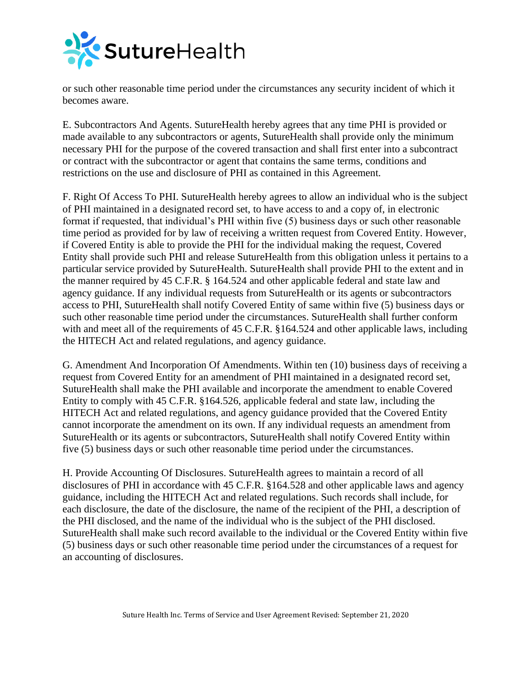

or such other reasonable time period under the circumstances any security incident of which it becomes aware.

E. Subcontractors And Agents. SutureHealth hereby agrees that any time PHI is provided or made available to any subcontractors or agents, SutureHealth shall provide only the minimum necessary PHI for the purpose of the covered transaction and shall first enter into a subcontract or contract with the subcontractor or agent that contains the same terms, conditions and restrictions on the use and disclosure of PHI as contained in this Agreement.

F. Right Of Access To PHI. SutureHealth hereby agrees to allow an individual who is the subject of PHI maintained in a designated record set, to have access to and a copy of, in electronic format if requested, that individual's PHI within five (5) business days or such other reasonable time period as provided for by law of receiving a written request from Covered Entity. However, if Covered Entity is able to provide the PHI for the individual making the request, Covered Entity shall provide such PHI and release SutureHealth from this obligation unless it pertains to a particular service provided by SutureHealth. SutureHealth shall provide PHI to the extent and in the manner required by 45 C.F.R. § 164.524 and other applicable federal and state law and agency guidance. If any individual requests from SutureHealth or its agents or subcontractors access to PHI, SutureHealth shall notify Covered Entity of same within five (5) business days or such other reasonable time period under the circumstances. SutureHealth shall further conform with and meet all of the requirements of 45 C.F.R. §164.524 and other applicable laws, including the HITECH Act and related regulations, and agency guidance.

G. Amendment And Incorporation Of Amendments. Within ten (10) business days of receiving a request from Covered Entity for an amendment of PHI maintained in a designated record set, SutureHealth shall make the PHI available and incorporate the amendment to enable Covered Entity to comply with 45 C.F.R. §164.526, applicable federal and state law, including the HITECH Act and related regulations, and agency guidance provided that the Covered Entity cannot incorporate the amendment on its own. If any individual requests an amendment from SutureHealth or its agents or subcontractors, SutureHealth shall notify Covered Entity within five (5) business days or such other reasonable time period under the circumstances.

H. Provide Accounting Of Disclosures. SutureHealth agrees to maintain a record of all disclosures of PHI in accordance with 45 C.F.R. §164.528 and other applicable laws and agency guidance, including the HITECH Act and related regulations. Such records shall include, for each disclosure, the date of the disclosure, the name of the recipient of the PHI, a description of the PHI disclosed, and the name of the individual who is the subject of the PHI disclosed. SutureHealth shall make such record available to the individual or the Covered Entity within five (5) business days or such other reasonable time period under the circumstances of a request for an accounting of disclosures.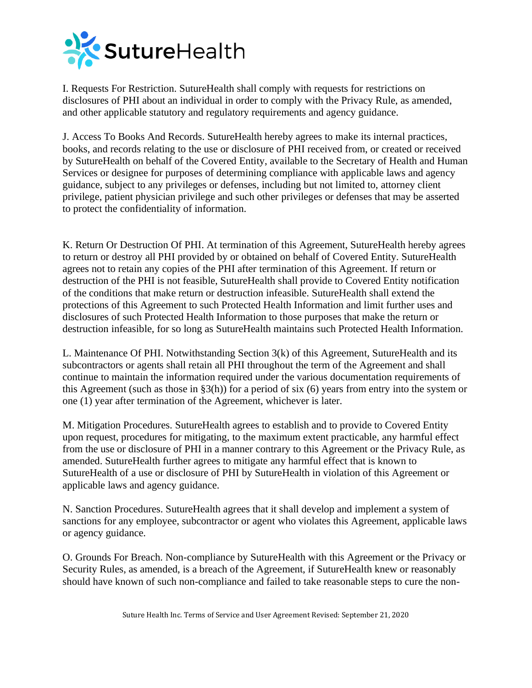

I. Requests For Restriction. SutureHealth shall comply with requests for restrictions on disclosures of PHI about an individual in order to comply with the Privacy Rule, as amended, and other applicable statutory and regulatory requirements and agency guidance.

J. Access To Books And Records. SutureHealth hereby agrees to make its internal practices, books, and records relating to the use or disclosure of PHI received from, or created or received by SutureHealth on behalf of the Covered Entity, available to the Secretary of Health and Human Services or designee for purposes of determining compliance with applicable laws and agency guidance, subject to any privileges or defenses, including but not limited to, attorney client privilege, patient physician privilege and such other privileges or defenses that may be asserted to protect the confidentiality of information.

K. Return Or Destruction Of PHI. At termination of this Agreement, SutureHealth hereby agrees to return or destroy all PHI provided by or obtained on behalf of Covered Entity. SutureHealth agrees not to retain any copies of the PHI after termination of this Agreement. If return or destruction of the PHI is not feasible, SutureHealth shall provide to Covered Entity notification of the conditions that make return or destruction infeasible. SutureHealth shall extend the protections of this Agreement to such Protected Health Information and limit further uses and disclosures of such Protected Health Information to those purposes that make the return or destruction infeasible, for so long as SutureHealth maintains such Protected Health Information.

L. Maintenance Of PHI. Notwithstanding Section 3(k) of this Agreement, SutureHealth and its subcontractors or agents shall retain all PHI throughout the term of the Agreement and shall continue to maintain the information required under the various documentation requirements of this Agreement (such as those in §3(h)) for a period of six (6) years from entry into the system or one (1) year after termination of the Agreement, whichever is later.

M. Mitigation Procedures. SutureHealth agrees to establish and to provide to Covered Entity upon request, procedures for mitigating, to the maximum extent practicable, any harmful effect from the use or disclosure of PHI in a manner contrary to this Agreement or the Privacy Rule, as amended. SutureHealth further agrees to mitigate any harmful effect that is known to SutureHealth of a use or disclosure of PHI by SutureHealth in violation of this Agreement or applicable laws and agency guidance.

N. Sanction Procedures. SutureHealth agrees that it shall develop and implement a system of sanctions for any employee, subcontractor or agent who violates this Agreement, applicable laws or agency guidance.

O. Grounds For Breach. Non-compliance by SutureHealth with this Agreement or the Privacy or Security Rules, as amended, is a breach of the Agreement, if SutureHealth knew or reasonably should have known of such non-compliance and failed to take reasonable steps to cure the non-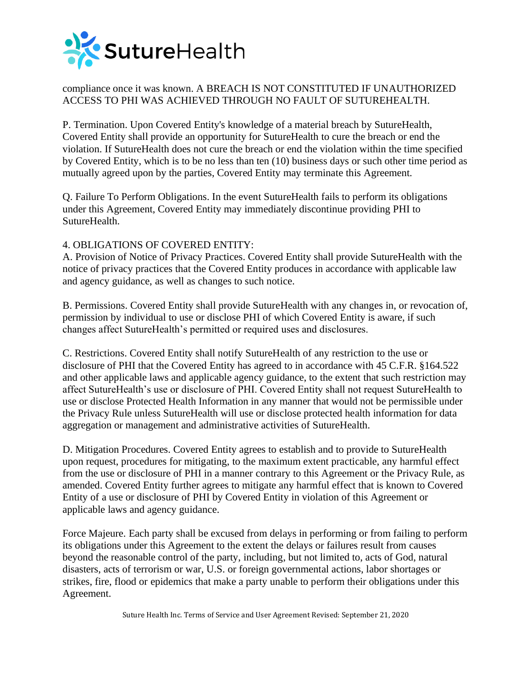

# compliance once it was known. A BREACH IS NOT CONSTITUTED IF UNAUTHORIZED ACCESS TO PHI WAS ACHIEVED THROUGH NO FAULT OF SUTUREHEALTH.

P. Termination. Upon Covered Entity's knowledge of a material breach by SutureHealth, Covered Entity shall provide an opportunity for SutureHealth to cure the breach or end the violation. If SutureHealth does not cure the breach or end the violation within the time specified by Covered Entity, which is to be no less than ten (10) business days or such other time period as mutually agreed upon by the parties, Covered Entity may terminate this Agreement.

Q. Failure To Perform Obligations. In the event SutureHealth fails to perform its obligations under this Agreement, Covered Entity may immediately discontinue providing PHI to SutureHealth.

## 4. OBLIGATIONS OF COVERED ENTITY:

A. Provision of Notice of Privacy Practices. Covered Entity shall provide SutureHealth with the notice of privacy practices that the Covered Entity produces in accordance with applicable law and agency guidance, as well as changes to such notice.

B. Permissions. Covered Entity shall provide SutureHealth with any changes in, or revocation of, permission by individual to use or disclose PHI of which Covered Entity is aware, if such changes affect SutureHealth's permitted or required uses and disclosures.

C. Restrictions. Covered Entity shall notify SutureHealth of any restriction to the use or disclosure of PHI that the Covered Entity has agreed to in accordance with 45 C.F.R. §164.522 and other applicable laws and applicable agency guidance, to the extent that such restriction may affect SutureHealth's use or disclosure of PHI. Covered Entity shall not request SutureHealth to use or disclose Protected Health Information in any manner that would not be permissible under the Privacy Rule unless SutureHealth will use or disclose protected health information for data aggregation or management and administrative activities of SutureHealth.

D. Mitigation Procedures. Covered Entity agrees to establish and to provide to SutureHealth upon request, procedures for mitigating, to the maximum extent practicable, any harmful effect from the use or disclosure of PHI in a manner contrary to this Agreement or the Privacy Rule, as amended. Covered Entity further agrees to mitigate any harmful effect that is known to Covered Entity of a use or disclosure of PHI by Covered Entity in violation of this Agreement or applicable laws and agency guidance.

Force Majeure. Each party shall be excused from delays in performing or from failing to perform its obligations under this Agreement to the extent the delays or failures result from causes beyond the reasonable control of the party, including, but not limited to, acts of God, natural disasters, acts of terrorism or war, U.S. or foreign governmental actions, labor shortages or strikes, fire, flood or epidemics that make a party unable to perform their obligations under this Agreement.